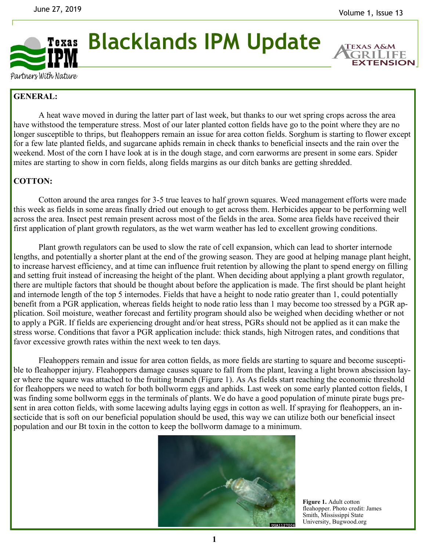

**Blacklands IPM Update**

**TEXAS A& EXTENSION** 

Partners With Nature

## **GENERAL:**

A heat wave moved in during the latter part of last week, but thanks to our wet spring crops across the area have withstood the temperature stress. Most of our later planted cotton fields have go to the point where they are no longer susceptible to thrips, but fleahoppers remain an issue for area cotton fields. Sorghum is starting to flower except for a few late planted fields, and sugarcane aphids remain in check thanks to beneficial insects and the rain over the weekend. Most of the corn I have look at is in the dough stage, and corn earworms are present in some ears. Spider mites are starting to show in corn fields, along fields margins as our ditch banks are getting shredded.

## **COTTON:**

Cotton around the area ranges for 3-5 true leaves to half grown squares. Weed management efforts were made this week as fields in some areas finally dried out enough to get across them. Herbicides appear to be performing well across the area. Insect pest remain present across most of the fields in the area. Some area fields have received their first application of plant growth regulators, as the wet warm weather has led to excellent growing conditions.

Plant growth regulators can be used to slow the rate of cell expansion, which can lead to shorter internode lengths, and potentially a shorter plant at the end of the growing season. They are good at helping manage plant height, to increase harvest efficiency, and at time can influence fruit retention by allowing the plant to spend energy on filling and setting fruit instead of increasing the height of the plant. When deciding about applying a plant growth regulator, there are multiple factors that should be thought about before the application is made. The first should be plant height and internode length of the top 5 internodes. Fields that have a height to node ratio greater than 1, could potentially benefit from a PGR application, whereas fields height to node ratio less than 1 may become too stressed by a PGR application. Soil moisture, weather forecast and fertility program should also be weighed when deciding whether or not to apply a PGR. If fields are experiencing drought and/or heat stress, PGRs should not be applied as it can make the stress worse. Conditions that favor a PGR application include: thick stands, high Nitrogen rates, and conditions that favor excessive growth rates within the next week to ten days.

Fleahoppers remain and issue for area cotton fields, as more fields are starting to square and become susceptible to fleahopper injury. Fleahoppers damage causes square to fall from the plant, leaving a light brown abscission layer where the square was attached to the fruiting branch (Figure 1). As As fields start reaching the economic threshold for fleahoppers we need to watch for both bollworm eggs and aphids. Last week on some early planted cotton fields, I was finding some bollworm eggs in the terminals of plants. We do have a good population of minute pirate bugs present in area cotton fields, with some lacewing adults laying eggs in cotton as well. If spraying for fleahoppers, an insecticide that is soft on our beneficial population should be used, this way we can utilize both our beneficial insect population and our Bt toxin in the cotton to keep the bollworm damage to a minimum.



**Figure 1.** Adult cotton fleahopper. Photo credit: James Smith, Mississippi State University, Bugwood.org